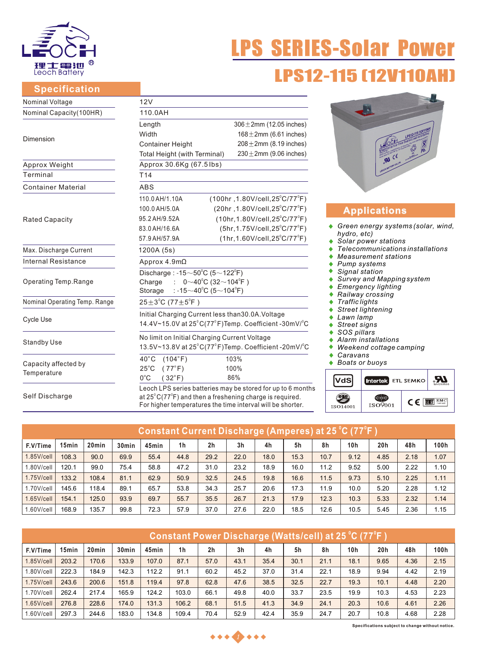

# LPS SERIES-Solar Power **LPS12-115 [12V11**

## **Specification**

| Nominal Voltage               | 12V                                                                                                                                        |                                                             |  |  |  |  |  |  |  |
|-------------------------------|--------------------------------------------------------------------------------------------------------------------------------------------|-------------------------------------------------------------|--|--|--|--|--|--|--|
| Nominal Capacity(100HR)       | 110.0AH                                                                                                                                    |                                                             |  |  |  |  |  |  |  |
|                               | Length                                                                                                                                     | $306 \pm 2$ mm (12.05 inches)                               |  |  |  |  |  |  |  |
| Dimension                     | Width                                                                                                                                      | 168 $\pm$ 2mm (6.61 inches)                                 |  |  |  |  |  |  |  |
|                               | <b>Container Height</b>                                                                                                                    | $208 \pm 2$ mm (8.19 inches)                                |  |  |  |  |  |  |  |
|                               | Total Height (with Terminal)                                                                                                               | $230 \pm 2$ mm (9.06 inches)                                |  |  |  |  |  |  |  |
| Approx Weight                 | Approx 30.6Kg (67.5lbs)                                                                                                                    |                                                             |  |  |  |  |  |  |  |
| Terminal                      | T <sub>14</sub>                                                                                                                            |                                                             |  |  |  |  |  |  |  |
| <b>Container Material</b>     | ABS                                                                                                                                        |                                                             |  |  |  |  |  |  |  |
|                               | 110.0 AH/1.10A                                                                                                                             | $(100hr, 1.80V/cell, 25^{\circ}C/77^{\circ}F)$              |  |  |  |  |  |  |  |
|                               | 100.0 AH/5.0A                                                                                                                              | (20hr, 1.80V/cell, 25°C/77°F)                               |  |  |  |  |  |  |  |
| <b>Rated Capacity</b>         | 95.2 AH/9.52A                                                                                                                              | (10hr, 1.80V/cell, 25°C/77°F)                               |  |  |  |  |  |  |  |
|                               | 83.0 AH/16.6A                                                                                                                              | $(5hr, 1.75V/cell, 25^{\circ}C/77^{\circ}F)$                |  |  |  |  |  |  |  |
|                               | 57.9 AH/57.9A                                                                                                                              | $(1hr, 1.60V/cell, 25^{\circ}C/77^{\circ}F)$                |  |  |  |  |  |  |  |
| Max. Discharge Current        | 1200A (5s)                                                                                                                                 |                                                             |  |  |  |  |  |  |  |
| Internal Resistance           | Approx $4.9m\Omega$                                                                                                                        |                                                             |  |  |  |  |  |  |  |
|                               | Discharge: -15 $\sim$ 50 $^{\circ}$ C (5 $\sim$ 122 $^{\circ}$ F)                                                                          |                                                             |  |  |  |  |  |  |  |
| Operating Temp.Range          | Charge<br>$0 \sim 40^{\circ}$ C (32 $\sim$ 104 $^{\circ}$ F)                                                                               |                                                             |  |  |  |  |  |  |  |
|                               | : -15 $\sim$ 40°C (5 $\sim$ 104°F)<br>Storage                                                                                              |                                                             |  |  |  |  |  |  |  |
| Nominal Operating Temp. Range | $25 \pm 3^{\circ}$ C (77 $\pm 5^{\circ}$ F)                                                                                                |                                                             |  |  |  |  |  |  |  |
|                               | Initial Charging Current less than 30.0A. Voltage                                                                                          |                                                             |  |  |  |  |  |  |  |
| <b>Cycle Use</b>              | 14.4V~15.0V at $25^{\circ}$ C(77 $^{\circ}$ F)Temp. Coefficient -30mV/ $^{\circ}$ C                                                        |                                                             |  |  |  |  |  |  |  |
|                               | No limit on Initial Charging Current Voltage                                                                                               |                                                             |  |  |  |  |  |  |  |
| <b>Standby Use</b>            | 13.5V~13.8V at 25°C(77°F)Temp. Coefficient -20mV/°C                                                                                        |                                                             |  |  |  |  |  |  |  |
|                               | $40^{\circ}$ C<br>(104°F)                                                                                                                  | 103%                                                        |  |  |  |  |  |  |  |
| Capacity affected by          | $25^{\circ}$ C<br>(77°F)                                                                                                                   | 100%                                                        |  |  |  |  |  |  |  |
| Temperature                   | $0^{\circ}$ C<br>$(32^{\circ}F)$                                                                                                           | 86%                                                         |  |  |  |  |  |  |  |
| Self Discharge                | at $25^{\circ}$ C(77 $^{\circ}$ F) and then a freshening charge is required.<br>For higher temperatures the time interval will be shorter. | Leoch LPS series batteries may be stored for up to 6 months |  |  |  |  |  |  |  |



## **Applications**

- *Green energy systems (solar, wind, hydro, etc)*
- *Solar power stations*   $\bullet$
- *Telecommunications installations*   $\blacktriangle$
- *Measurement stations*
- *Pump systems*
- *Signal station*  $\blacktriangle$
- *Survey and Mapping system*
- *Emergency lighting*
- *Railway crossing*
- *Traffic lights*  $\bullet$
- *Street lightening*   $\spadesuit$
- *Lawn lamp*
- *Street signs*
- *SOS pillars*
- *Alarm installations*  $\blacktriangle$
- *Weekend cottage camping*
- *Caravans*
- *Boats or buoys*

|          | Intertek ETL SEMKO |            | MH26866       |
|----------|--------------------|------------|---------------|
| ISO14001 | ISO9001            | $\epsilon$ | EMC<br>tested |

| Constant Current Discharge (Amperes) at 25 °C (77°F ) |                   |                   |                   |       |                |                |                |      |      |      |      |      |      |      |
|-------------------------------------------------------|-------------------|-------------------|-------------------|-------|----------------|----------------|----------------|------|------|------|------|------|------|------|
| F.V/Time                                              | 15 <sub>min</sub> | 20 <sub>min</sub> | 30 <sub>min</sub> | 45min | 1 <sub>h</sub> | 2 <sub>h</sub> | 3 <sub>h</sub> | 4h   | 5h   | 8h   | 10h  | 20h  | 48h  | 100h |
| $1.85$ V/cell                                         | 108.3             | 90.0              | 69.9              | 55.4  | 44.8           | 29.2           | 22.0           | 18.0 | 15.3 | 10.7 | 9.12 | 4.85 | 2.18 | 1.07 |
| $1.80$ V/cell                                         | 120.1             | 99.0              | 75.4              | 58.8  | 47.2           | 31.0           | 23.2           | 18.9 | 16.0 | 11.2 | 9.52 | 5.00 | 2.22 | 1.10 |
| $1.75$ V/cell                                         | 133.2             | 108.4             | 81.1              | 62.9  | 50.9           | 32.5           | 24.5           | 19.8 | 16.6 | 11.5 | 9.73 | 5.10 | 2.25 | 1.11 |
| $1.70$ V/cell                                         | 145.6             | 118.4             | 89.1              | 65.7  | 53.8           | 34.3           | 25.7           | 20.6 | 17.3 | 11.9 | 10.0 | 5.20 | 2.28 | 1.12 |
| $1.65$ V/cell                                         | 154.1             | 125.0             | 93.9              | 69.7  | 55.7           | 35.5           | 26.7           | 21.3 | 17.9 | 12.3 | 10.3 | 5.33 | 2.32 | 1.14 |
| $1.60$ V/cell                                         | 168.9             | 135.7             | 99.8              | 72.3  | 57.9           | 37.0           | 27.6           | 22.0 | 18.5 | 12.6 | 10.5 | 5.45 | 2.36 | 1.15 |

| (Constant Power Discharge (Watts/cell) at 25 °C (77°F ) |       |                   |                   |       |                |                |                |      |      |      |      |      |      |      |
|---------------------------------------------------------|-------|-------------------|-------------------|-------|----------------|----------------|----------------|------|------|------|------|------|------|------|
| F.V/Time                                                | 15min | 20 <sub>min</sub> | 30 <sub>min</sub> | 45min | 1 <sub>h</sub> | 2 <sub>h</sub> | 3 <sub>h</sub> | 4h   | 5h   | 8h   | 10h  | 20h  | 48h  | 100h |
| $1.85$ V/cell                                           | 203.2 | 170.6             | 133.9             | 107.0 | 87.1           | 57.0           | 43.1           | 35.4 | 30.1 | 21.1 | 18.1 | 9.65 | 4.36 | 2.15 |
| $1.80$ V/cell                                           | 222.3 | 184.9             | 142.3             | 112.2 | 91.1           | 60.2           | 45.2           | 37.0 | 31.4 | 22.1 | 18.9 | 9.94 | 4.42 | 2.19 |
| $1.75$ V/cell                                           | 243.6 | 200.6             | 151.8             | 119.4 | 97.8           | 62.8           | 47.6           | 38.5 | 32.5 | 22.7 | 19.3 | 10.1 | 4.48 | 2.20 |
| $1.70$ V/cell                                           | 262.4 | 217.4             | 165.9             | 124.2 | 103.0          | 66.1           | 49.8           | 40.0 | 33.7 | 23.5 | 19.9 | 10.3 | 4.53 | 2.23 |
| $1.65$ V/cell                                           | 276.8 | 228.6             | 174.0             | 131.3 | 106.2          | 68.1           | 51.5           | 41.3 | 34.9 | 24.1 | 20.3 | 10.6 | 4.61 | 2.26 |
| $1.60$ V/cell                                           | 297.3 | 244.6             | 183.0             | 134.8 | 109.4          | 70.4           | 52.9           | 42.4 | 35.9 | 24.7 | 20.7 | 10.8 | 4.68 | 2.28 |



**Specifications subject to change without notice.**